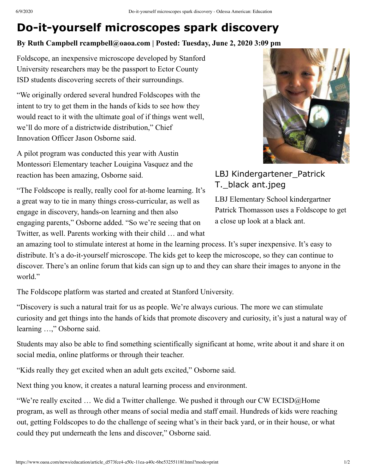## **Do-it-yourself microscopes spark discovery**

## **By Ruth Campbell rcampbell@oaoa.com | Posted: Tuesday, June 2, 2020 3:09 pm**

Foldscope, an inexpensive microscope developed by Stanford University researchers may be the passport to Ector County ISD students discovering secrets of their surroundings.

"We originally ordered several hundred Foldscopes with the intent to try to get them in the hands of kids to see how they would react to it with the ultimate goal of if things went well, we'll do more of a districtwide distribution," Chief Innovation Officer Jason Osborne said.

A pilot program was conducted this year with Austin Montessori Elementary teacher Louigina Vasquez and the reaction has been amazing, Osborne said.

"The Foldscope is really, really cool for at-home learning. It's a great way to tie in many things cross-curricular, as well as engage in discovery, hands-on learning and then also engaging parents," Osborne added. "So we're seeing that on Twitter, as well. Parents working with their child … and what



LBJ Kindergartener\_Patrick T.\_black ant.jpeg

LBJ Elementary School kindergartner Patrick Thomasson uses a Foldscope to get a close up look at a black ant.

an amazing tool to stimulate interest at home in the learning process. It's super inexpensive. It's easy to distribute. It's a do-it-yourself microscope. The kids get to keep the microscope, so they can continue to discover. There's an online forum that kids can sign up to and they can share their images to anyone in the world."

The Foldscope platform was started and created at Stanford University.

"Discovery is such a natural trait for us as people. We're always curious. The more we can stimulate curiosity and get things into the hands of kids that promote discovery and curiosity, it's just a natural way of learning …," Osborne said.

Students may also be able to find something scientifically significant at home, write about it and share it on social media, online platforms or through their teacher.

"Kids really they get excited when an adult gets excited," Osborne said.

Next thing you know, it creates a natural learning process and environment.

"We're really excited … We did a Twitter challenge. We pushed it through our CW [ECISD@Home](mailto:ECISD@Home) program, as well as through other means of social media and staff email. Hundreds of kids were reaching out, getting Foldscopes to do the challenge of seeing what's in their back yard, or in their house, or what could they put underneath the lens and discover," Osborne said.